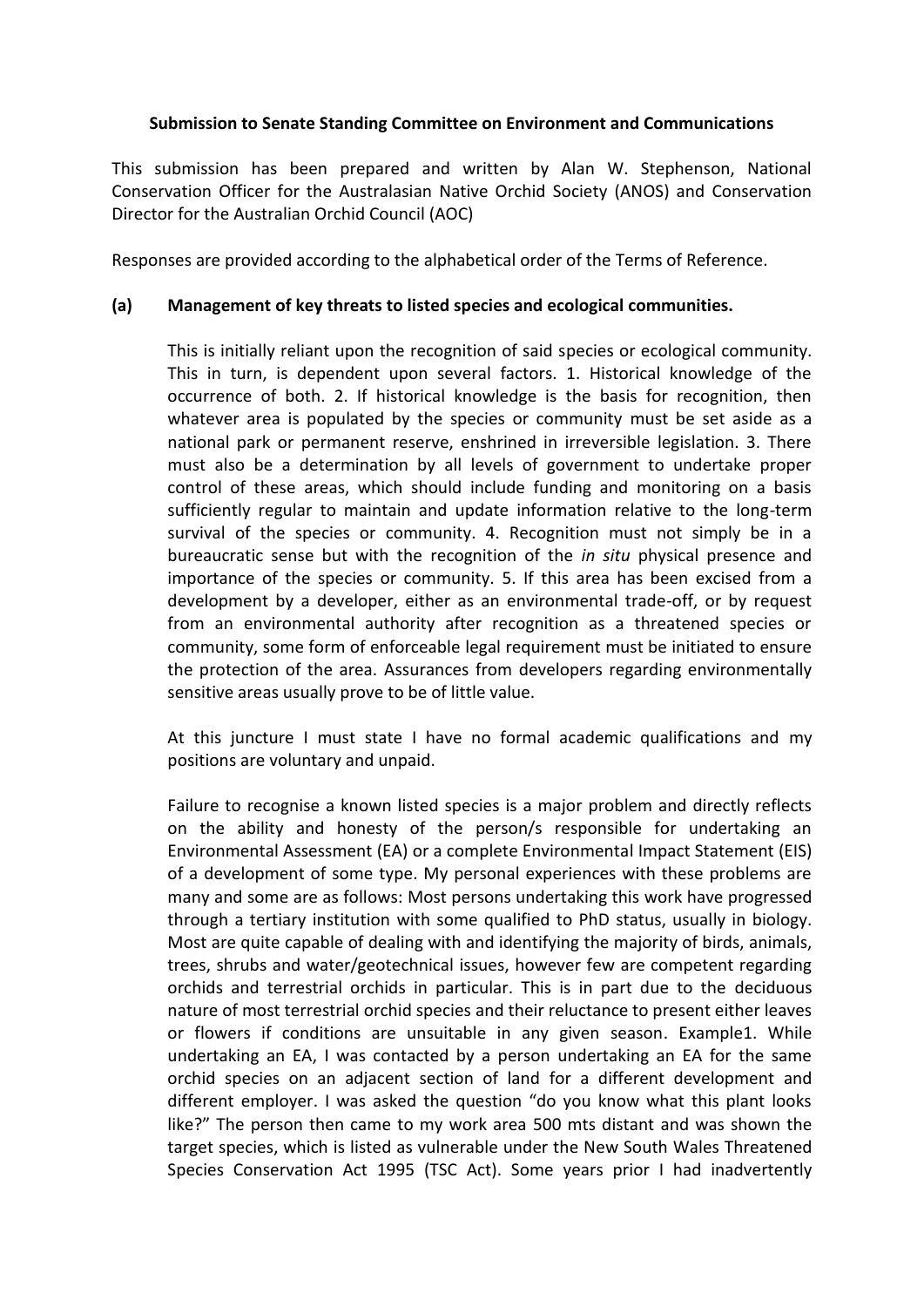# **Submission to Senate Standing Committee on Environment and Communications**

This submission has been prepared and written by Alan W. Stephenson, National Conservation Officer for the Australasian Native Orchid Society (ANOS) and Conservation Director for the Australian Orchid Council (AOC)

Responses are provided according to the alphabetical order of the Terms of Reference.

### **(a) Management of key threats to listed species and ecological communities.**

This is initially reliant upon the recognition of said species or ecological community. This in turn, is dependent upon several factors. 1. Historical knowledge of the occurrence of both. 2. If historical knowledge is the basis for recognition, then whatever area is populated by the species or community must be set aside as a national park or permanent reserve, enshrined in irreversible legislation. 3. There must also be a determination by all levels of government to undertake proper control of these areas, which should include funding and monitoring on a basis sufficiently regular to maintain and update information relative to the long-term survival of the species or community. 4. Recognition must not simply be in a bureaucratic sense but with the recognition of the *in situ* physical presence and importance of the species or community. 5. If this area has been excised from a development by a developer, either as an environmental trade-off, or by request from an environmental authority after recognition as a threatened species or community, some form of enforceable legal requirement must be initiated to ensure the protection of the area. Assurances from developers regarding environmentally sensitive areas usually prove to be of little value.

At this juncture I must state I have no formal academic qualifications and my positions are voluntary and unpaid.

Failure to recognise a known listed species is a major problem and directly reflects on the ability and honesty of the person/s responsible for undertaking an Environmental Assessment (EA) or a complete Environmental Impact Statement (EIS) of a development of some type. My personal experiences with these problems are many and some are as follows: Most persons undertaking this work have progressed through a tertiary institution with some qualified to PhD status, usually in biology. Most are quite capable of dealing with and identifying the majority of birds, animals, trees, shrubs and water/geotechnical issues, however few are competent regarding orchids and terrestrial orchids in particular. This is in part due to the deciduous nature of most terrestrial orchid species and their reluctance to present either leaves or flowers if conditions are unsuitable in any given season. Example1. While undertaking an EA, I was contacted by a person undertaking an EA for the same orchid species on an adjacent section of land for a different development and different employer. I was asked the question "do you know what this plant looks like?" The person then came to my work area 500 mts distant and was shown the target species, which is listed as vulnerable under the New South Wales Threatened Species Conservation Act 1995 (TSC Act). Some years prior I had inadvertently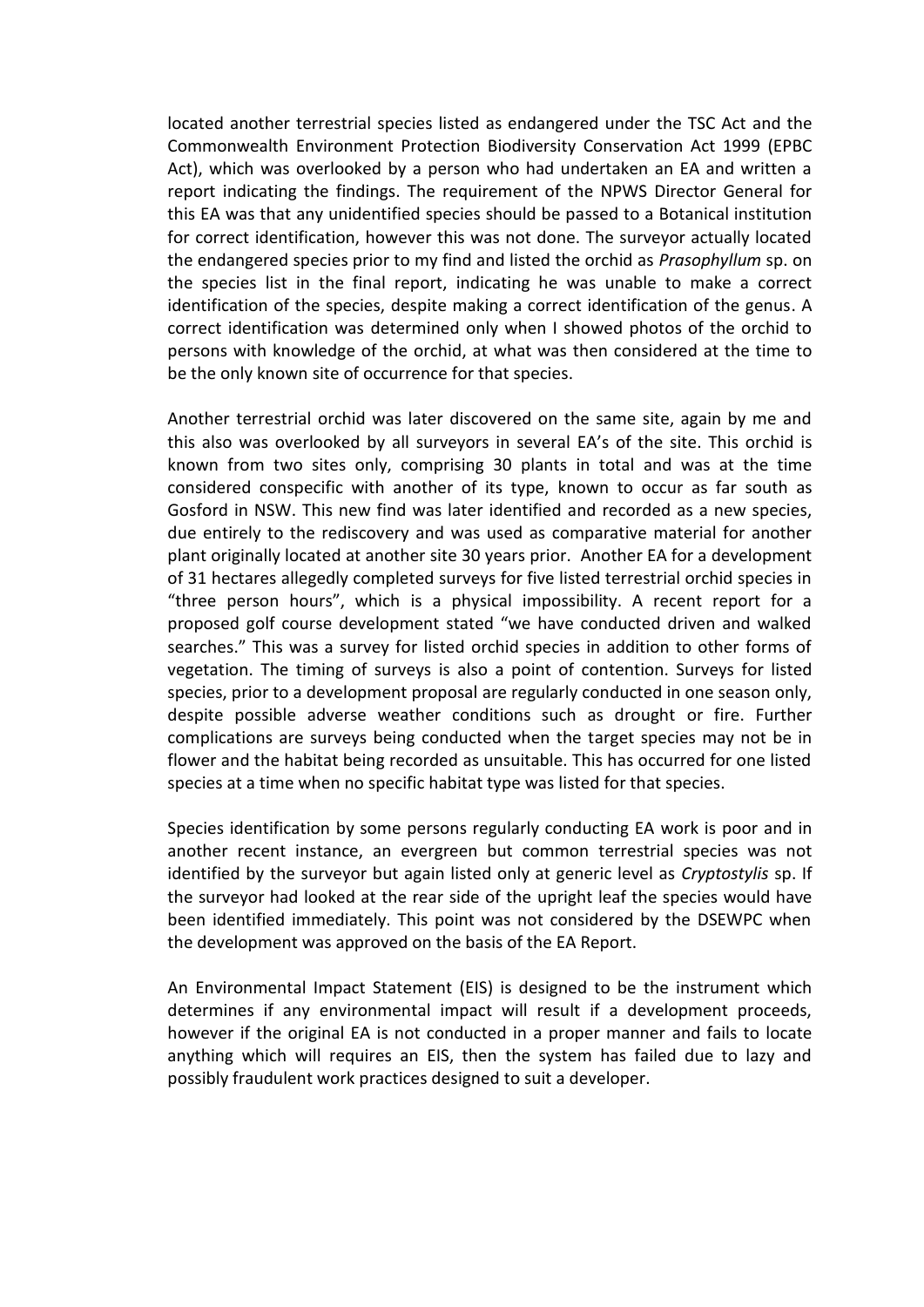located another terrestrial species listed as endangered under the TSC Act and the Commonwealth Environment Protection Biodiversity Conservation Act 1999 (EPBC Act), which was overlooked by a person who had undertaken an EA and written a report indicating the findings. The requirement of the NPWS Director General for this EA was that any unidentified species should be passed to a Botanical institution for correct identification, however this was not done. The surveyor actually located the endangered species prior to my find and listed the orchid as *Prasophyllum* sp. on the species list in the final report, indicating he was unable to make a correct identification of the species, despite making a correct identification of the genus. A correct identification was determined only when I showed photos of the orchid to persons with knowledge of the orchid, at what was then considered at the time to be the only known site of occurrence for that species.

Another terrestrial orchid was later discovered on the same site, again by me and this also was overlooked by all surveyors in several EA's of the site. This orchid is known from two sites only, comprising 30 plants in total and was at the time considered conspecific with another of its type, known to occur as far south as Gosford in NSW. This new find was later identified and recorded as a new species, due entirely to the rediscovery and was used as comparative material for another plant originally located at another site 30 years prior. Another EA for a development of 31 hectares allegedly completed surveys for five listed terrestrial orchid species in "three person hours", which is a physical impossibility. A recent report for a proposed golf course development stated "we have conducted driven and walked searches." This was a survey for listed orchid species in addition to other forms of vegetation. The timing of surveys is also a point of contention. Surveys for listed species, prior to a development proposal are regularly conducted in one season only, despite possible adverse weather conditions such as drought or fire. Further complications are surveys being conducted when the target species may not be in flower and the habitat being recorded as unsuitable. This has occurred for one listed species at a time when no specific habitat type was listed for that species.

Species identification by some persons regularly conducting EA work is poor and in another recent instance, an evergreen but common terrestrial species was not identified by the surveyor but again listed only at generic level as *Cryptostylis* sp. If the surveyor had looked at the rear side of the upright leaf the species would have been identified immediately. This point was not considered by the DSEWPC when the development was approved on the basis of the EA Report.

An Environmental Impact Statement (EIS) is designed to be the instrument which determines if any environmental impact will result if a development proceeds, however if the original EA is not conducted in a proper manner and fails to locate anything which will requires an EIS, then the system has failed due to lazy and possibly fraudulent work practices designed to suit a developer.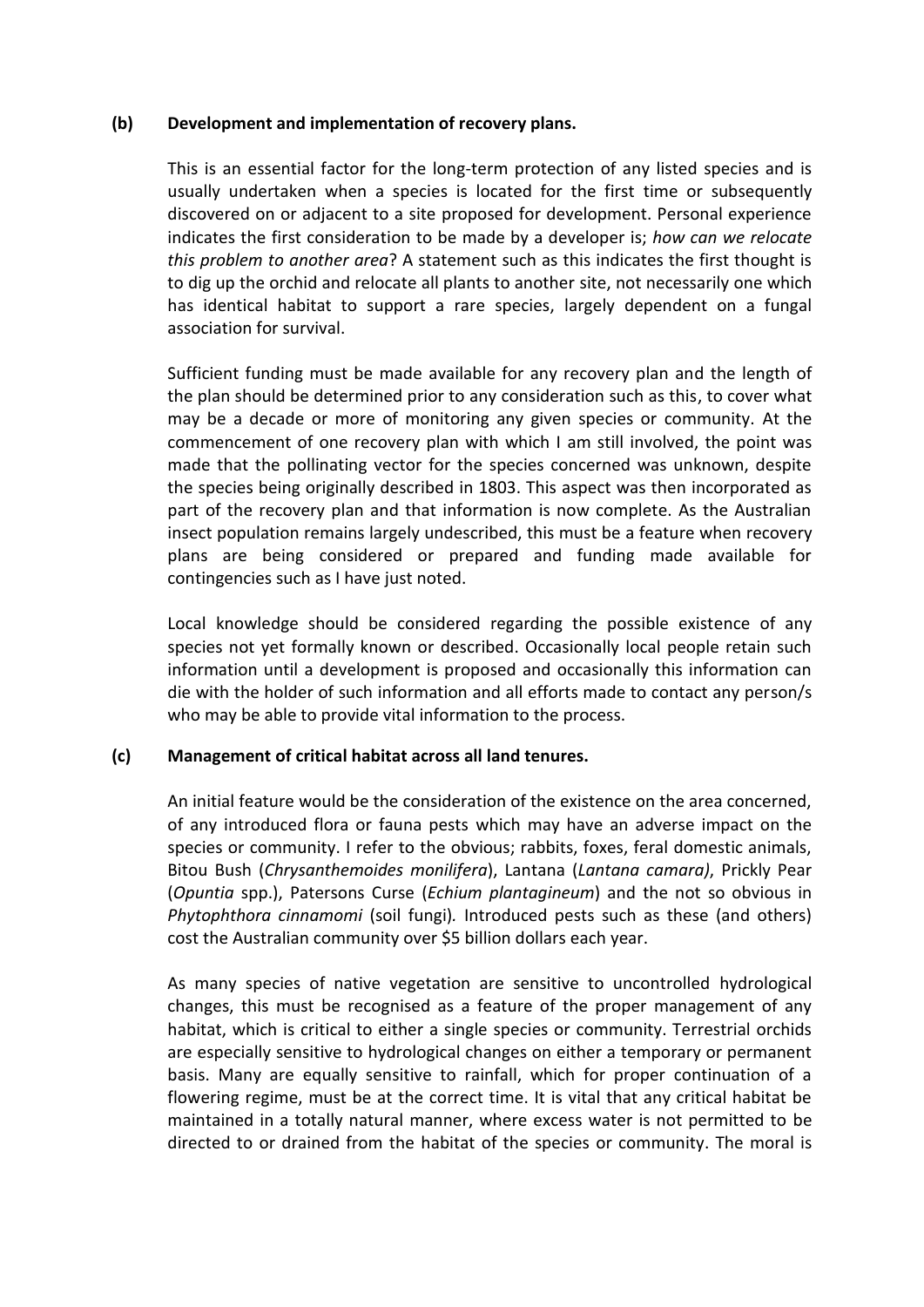### **(b) Development and implementation of recovery plans.**

This is an essential factor for the long-term protection of any listed species and is usually undertaken when a species is located for the first time or subsequently discovered on or adjacent to a site proposed for development. Personal experience indicates the first consideration to be made by a developer is; *how can we relocate this problem to another area*? A statement such as this indicates the first thought is to dig up the orchid and relocate all plants to another site, not necessarily one which has identical habitat to support a rare species, largely dependent on a fungal association for survival.

Sufficient funding must be made available for any recovery plan and the length of the plan should be determined prior to any consideration such as this, to cover what may be a decade or more of monitoring any given species or community. At the commencement of one recovery plan with which I am still involved, the point was made that the pollinating vector for the species concerned was unknown, despite the species being originally described in 1803. This aspect was then incorporated as part of the recovery plan and that information is now complete. As the Australian insect population remains largely undescribed, this must be a feature when recovery plans are being considered or prepared and funding made available for contingencies such as I have just noted.

Local knowledge should be considered regarding the possible existence of any species not yet formally known or described. Occasionally local people retain such information until a development is proposed and occasionally this information can die with the holder of such information and all efforts made to contact any person/s who may be able to provide vital information to the process.

# **(c) Management of critical habitat across all land tenures.**

An initial feature would be the consideration of the existence on the area concerned, of any introduced flora or fauna pests which may have an adverse impact on the species or community. I refer to the obvious; rabbits, foxes, feral domestic animals, Bitou Bush (*Chrysanthemoides monilifera*), Lantana (*Lantana camara)*, Prickly Pear (*Opuntia* spp.), Patersons Curse (*Echium plantagineum*) and the not so obvious in *Phytophthora cinnamomi* (soil fungi)*.* Introduced pests such as these (and others) cost the Australian community over \$5 billion dollars each year.

As many species of native vegetation are sensitive to uncontrolled hydrological changes, this must be recognised as a feature of the proper management of any habitat, which is critical to either a single species or community. Terrestrial orchids are especially sensitive to hydrological changes on either a temporary or permanent basis. Many are equally sensitive to rainfall, which for proper continuation of a flowering regime, must be at the correct time. It is vital that any critical habitat be maintained in a totally natural manner, where excess water is not permitted to be directed to or drained from the habitat of the species or community. The moral is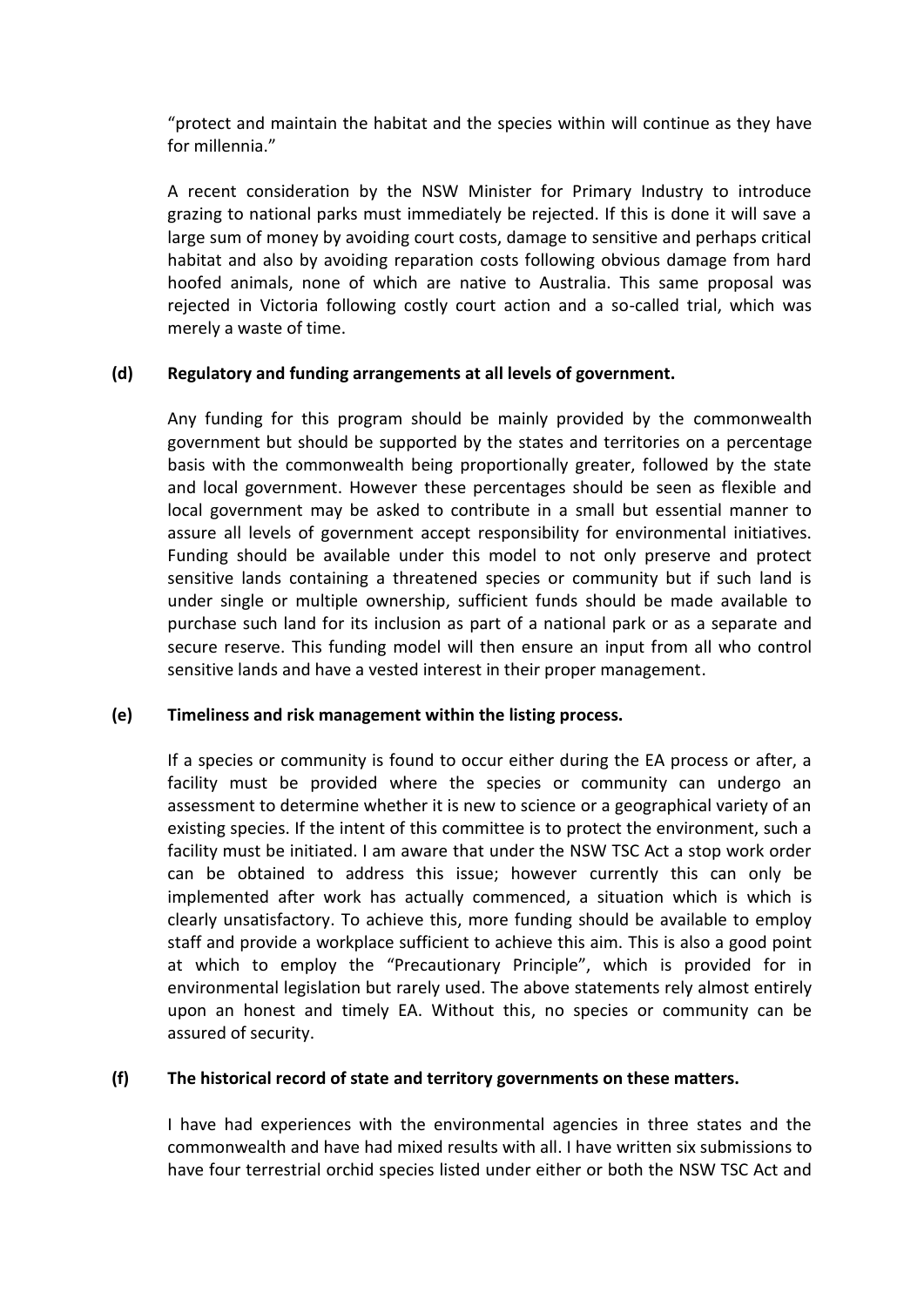"protect and maintain the habitat and the species within will continue as they have for millennia."

A recent consideration by the NSW Minister for Primary Industry to introduce grazing to national parks must immediately be rejected. If this is done it will save a large sum of money by avoiding court costs, damage to sensitive and perhaps critical habitat and also by avoiding reparation costs following obvious damage from hard hoofed animals, none of which are native to Australia. This same proposal was rejected in Victoria following costly court action and a so-called trial, which was merely a waste of time.

# **(d) Regulatory and funding arrangements at all levels of government.**

Any funding for this program should be mainly provided by the commonwealth government but should be supported by the states and territories on a percentage basis with the commonwealth being proportionally greater, followed by the state and local government. However these percentages should be seen as flexible and local government may be asked to contribute in a small but essential manner to assure all levels of government accept responsibility for environmental initiatives. Funding should be available under this model to not only preserve and protect sensitive lands containing a threatened species or community but if such land is under single or multiple ownership, sufficient funds should be made available to purchase such land for its inclusion as part of a national park or as a separate and secure reserve. This funding model will then ensure an input from all who control sensitive lands and have a vested interest in their proper management.

#### **(e) Timeliness and risk management within the listing process.**

If a species or community is found to occur either during the EA process or after, a facility must be provided where the species or community can undergo an assessment to determine whether it is new to science or a geographical variety of an existing species. If the intent of this committee is to protect the environment, such a facility must be initiated. I am aware that under the NSW TSC Act a stop work order can be obtained to address this issue; however currently this can only be implemented after work has actually commenced, a situation which is which is clearly unsatisfactory. To achieve this, more funding should be available to employ staff and provide a workplace sufficient to achieve this aim. This is also a good point at which to employ the "Precautionary Principle", which is provided for in environmental legislation but rarely used. The above statements rely almost entirely upon an honest and timely EA. Without this, no species or community can be assured of security.

## **(f) The historical record of state and territory governments on these matters.**

I have had experiences with the environmental agencies in three states and the commonwealth and have had mixed results with all. I have written six submissions to have four terrestrial orchid species listed under either or both the NSW TSC Act and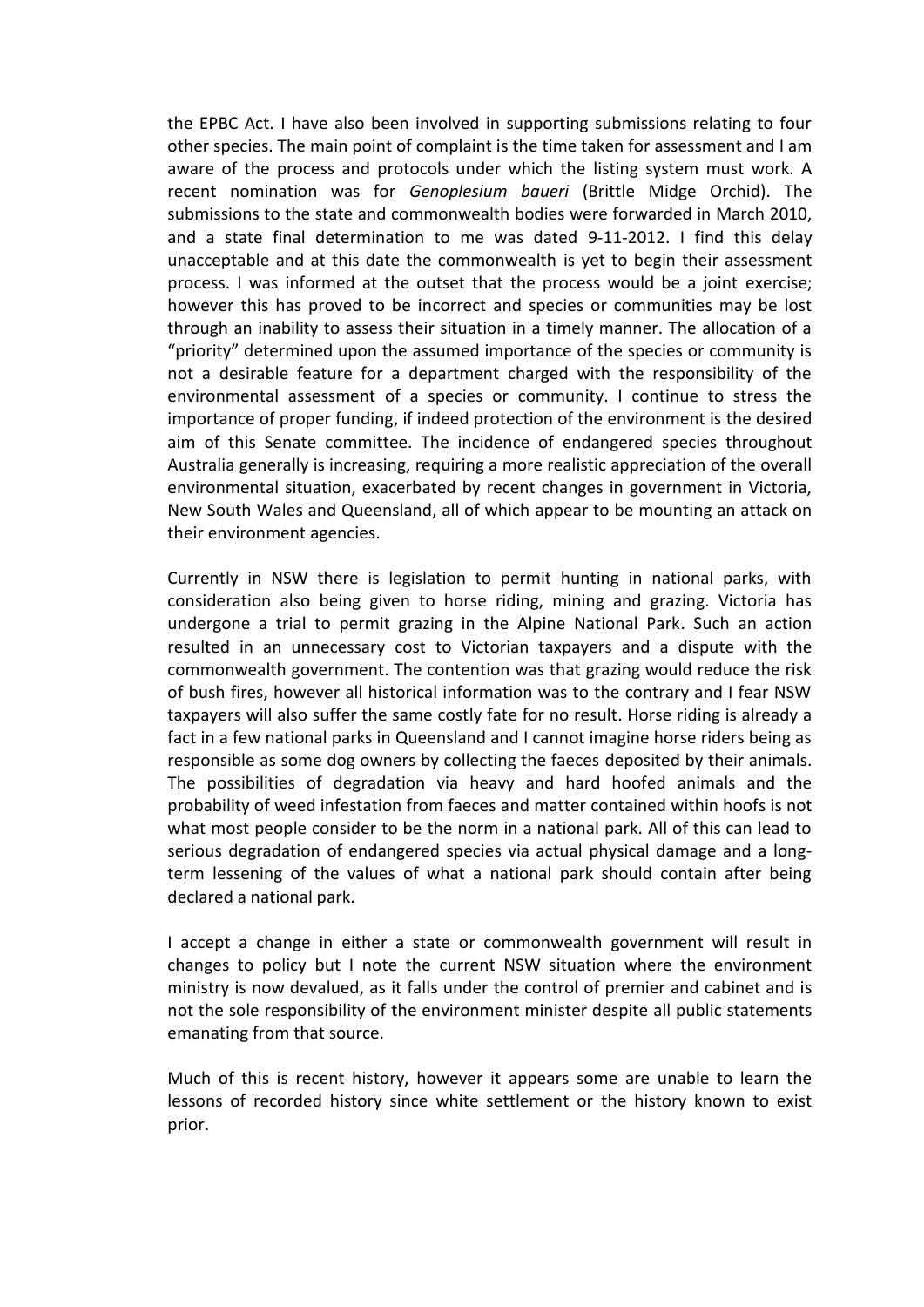the EPBC Act. I have also been involved in supporting submissions relating to four other species. The main point of complaint is the time taken for assessment and I am aware of the process and protocols under which the listing system must work. A recent nomination was for *Genoplesium baueri* (Brittle Midge Orchid). The submissions to the state and commonwealth bodies were forwarded in March 2010, and a state final determination to me was dated 9-11-2012. I find this delay unacceptable and at this date the commonwealth is yet to begin their assessment process. I was informed at the outset that the process would be a joint exercise; however this has proved to be incorrect and species or communities may be lost through an inability to assess their situation in a timely manner. The allocation of a "priority" determined upon the assumed importance of the species or community is not a desirable feature for a department charged with the responsibility of the environmental assessment of a species or community. I continue to stress the importance of proper funding, if indeed protection of the environment is the desired aim of this Senate committee. The incidence of endangered species throughout Australia generally is increasing, requiring a more realistic appreciation of the overall environmental situation, exacerbated by recent changes in government in Victoria, New South Wales and Queensland, all of which appear to be mounting an attack on their environment agencies.

Currently in NSW there is legislation to permit hunting in national parks, with consideration also being given to horse riding, mining and grazing. Victoria has undergone a trial to permit grazing in the Alpine National Park. Such an action resulted in an unnecessary cost to Victorian taxpayers and a dispute with the commonwealth government. The contention was that grazing would reduce the risk of bush fires, however all historical information was to the contrary and I fear NSW taxpayers will also suffer the same costly fate for no result. Horse riding is already a fact in a few national parks in Queensland and I cannot imagine horse riders being as responsible as some dog owners by collecting the faeces deposited by their animals. The possibilities of degradation via heavy and hard hoofed animals and the probability of weed infestation from faeces and matter contained within hoofs is not what most people consider to be the norm in a national park. All of this can lead to serious degradation of endangered species via actual physical damage and a longterm lessening of the values of what a national park should contain after being declared a national park.

I accept a change in either a state or commonwealth government will result in changes to policy but I note the current NSW situation where the environment ministry is now devalued, as it falls under the control of premier and cabinet and is not the sole responsibility of the environment minister despite all public statements emanating from that source.

Much of this is recent history, however it appears some are unable to learn the lessons of recorded history since white settlement or the history known to exist prior.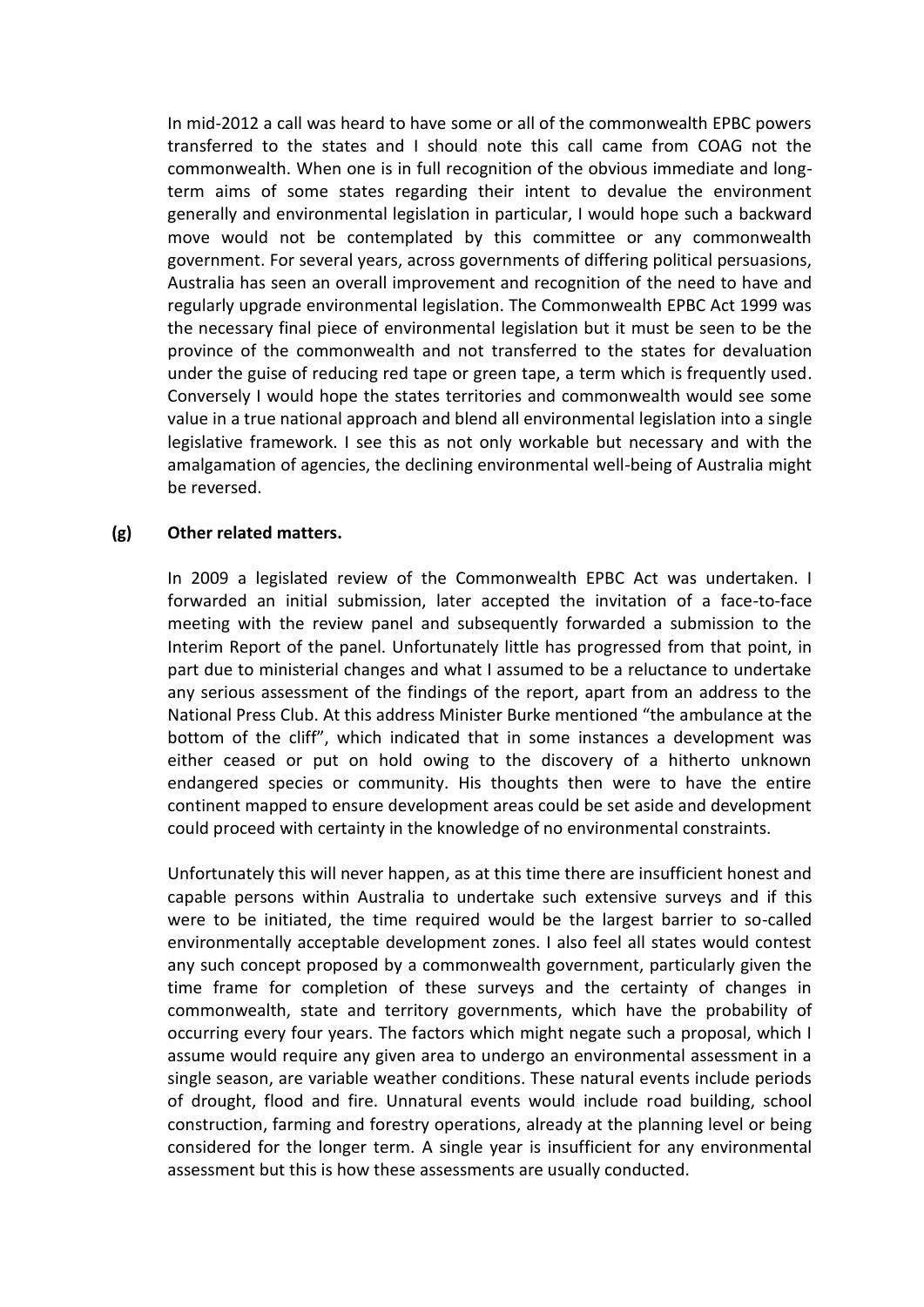In mid-2012 a call was heard to have some or all of the commonwealth EPBC powers transferred to the states and I should note this call came from COAG not the commonwealth. When one is in full recognition of the obvious immediate and longterm aims of some states regarding their intent to devalue the environment generally and environmental legislation in particular, I would hope such a backward move would not be contemplated by this committee or any commonwealth government. For several years, across governments of differing political persuasions, Australia has seen an overall improvement and recognition of the need to have and regularly upgrade environmental legislation. The Commonwealth EPBC Act 1999 was the necessary final piece of environmental legislation but it must be seen to be the province of the commonwealth and not transferred to the states for devaluation under the guise of reducing red tape or green tape, a term which is frequently used. Conversely I would hope the states territories and commonwealth would see some value in a true national approach and blend all environmental legislation into a single legislative framework. I see this as not only workable but necessary and with the amalgamation of agencies, the declining environmental well-being of Australia might be reversed.

#### **(g) Other related matters.**

In 2009 a legislated review of the Commonwealth EPBC Act was undertaken. I forwarded an initial submission, later accepted the invitation of a face-to-face meeting with the review panel and subsequently forwarded a submission to the Interim Report of the panel. Unfortunately little has progressed from that point, in part due to ministerial changes and what I assumed to be a reluctance to undertake any serious assessment of the findings of the report, apart from an address to the National Press Club. At this address Minister Burke mentioned "the ambulance at the bottom of the cliff", which indicated that in some instances a development was either ceased or put on hold owing to the discovery of a hitherto unknown endangered species or community. His thoughts then were to have the entire continent mapped to ensure development areas could be set aside and development could proceed with certainty in the knowledge of no environmental constraints.

Unfortunately this will never happen, as at this time there are insufficient honest and capable persons within Australia to undertake such extensive surveys and if this were to be initiated, the time required would be the largest barrier to so-called environmentally acceptable development zones. I also feel all states would contest any such concept proposed by a commonwealth government, particularly given the time frame for completion of these surveys and the certainty of changes in commonwealth, state and territory governments, which have the probability of occurring every four years. The factors which might negate such a proposal, which I assume would require any given area to undergo an environmental assessment in a single season, are variable weather conditions. These natural events include periods of drought, flood and fire. Unnatural events would include road building, school construction, farming and forestry operations, already at the planning level or being considered for the longer term. A single year is insufficient for any environmental assessment but this is how these assessments are usually conducted.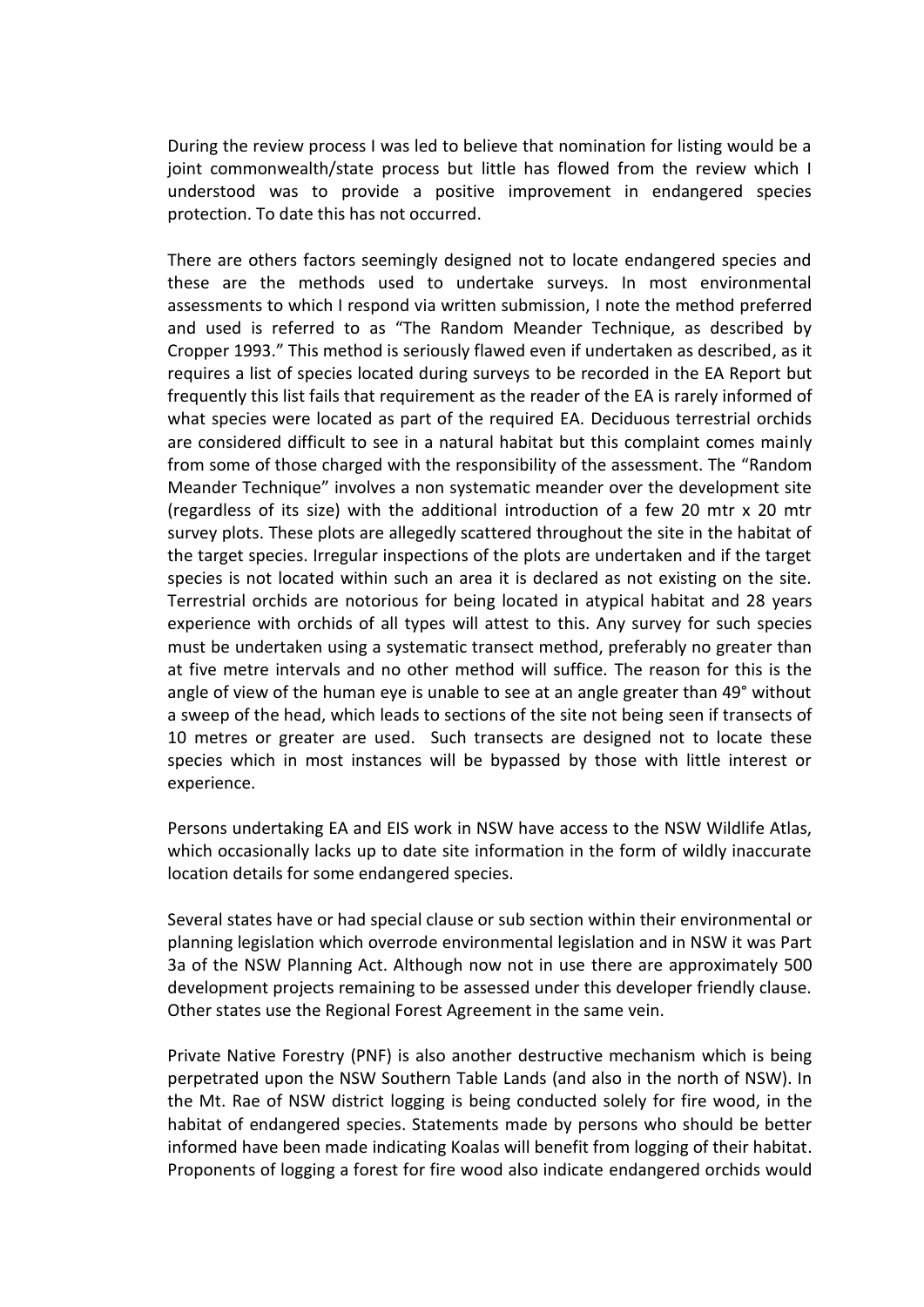During the review process I was led to believe that nomination for listing would be a joint commonwealth/state process but little has flowed from the review which I understood was to provide a positive improvement in endangered species protection. To date this has not occurred.

There are others factors seemingly designed not to locate endangered species and these are the methods used to undertake surveys. In most environmental assessments to which I respond via written submission, I note the method preferred and used is referred to as "The Random Meander Technique, as described by Cropper 1993." This method is seriously flawed even if undertaken as described, as it requires a list of species located during surveys to be recorded in the EA Report but frequently this list fails that requirement as the reader of the EA is rarely informed of what species were located as part of the required EA. Deciduous terrestrial orchids are considered difficult to see in a natural habitat but this complaint comes mainly from some of those charged with the responsibility of the assessment. The "Random Meander Technique" involves a non systematic meander over the development site (regardless of its size) with the additional introduction of a few 20 mtr x 20 mtr survey plots. These plots are allegedly scattered throughout the site in the habitat of the target species. Irregular inspections of the plots are undertaken and if the target species is not located within such an area it is declared as not existing on the site. Terrestrial orchids are notorious for being located in atypical habitat and 28 years experience with orchids of all types will attest to this. Any survey for such species must be undertaken using a systematic transect method, preferably no greater than at five metre intervals and no other method will suffice. The reason for this is the angle of view of the human eye is unable to see at an angle greater than 49° without a sweep of the head, which leads to sections of the site not being seen if transects of 10 metres or greater are used. Such transects are designed not to locate these species which in most instances will be bypassed by those with little interest or experience.

Persons undertaking EA and EIS work in NSW have access to the NSW Wildlife Atlas, which occasionally lacks up to date site information in the form of wildly inaccurate location details for some endangered species.

Several states have or had special clause or sub section within their environmental or planning legislation which overrode environmental legislation and in NSW it was Part 3a of the NSW Planning Act. Although now not in use there are approximately 500 development projects remaining to be assessed under this developer friendly clause. Other states use the Regional Forest Agreement in the same vein.

Private Native Forestry (PNF) is also another destructive mechanism which is being perpetrated upon the NSW Southern Table Lands (and also in the north of NSW). In the Mt. Rae of NSW district logging is being conducted solely for fire wood, in the habitat of endangered species. Statements made by persons who should be better informed have been made indicating Koalas will benefit from logging of their habitat. Proponents of logging a forest for fire wood also indicate endangered orchids would